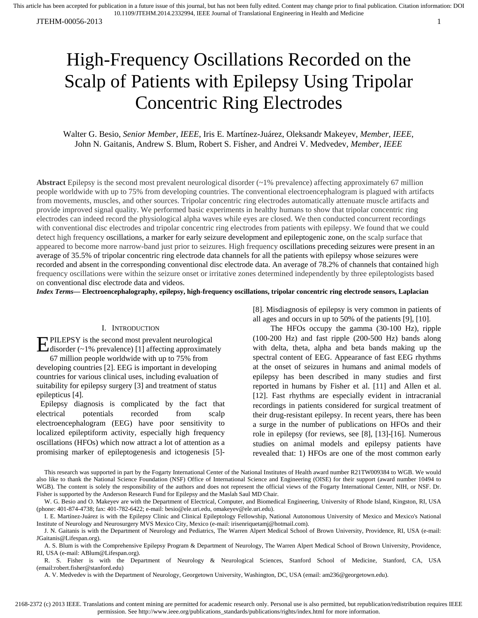JTEHM-00056-2013 1

# High-Frequency Oscillations Recorded on the Scalp of Patients with Epilepsy Using Tripolar Concentric Ring Electrodes

## Walter G. Besio, *Senior Member, IEEE*, Iris E. Martínez-Juárez, Oleksandr Makeyev, *Member, IEEE*, John N. Gaitanis, Andrew S. Blum, Robert S. Fisher, and Andrei V. Medvedev, *Member, IEEE*

**Abstract** Epilepsy is the second most prevalent neurological disorder (~1% prevalence) affecting approximately 67 million people worldwide with up to 75% from developing countries. The conventional electroencephalogram is plagued with artifacts from movements, muscles, and other sources. Tripolar concentric ring electrodes automatically attenuate muscle artifacts and provide improved signal quality. We performed basic experiments in healthy humans to show that tripolar concentric ring electrodes can indeed record the physiological alpha waves while eyes are closed. We then conducted concurrent recordings with conventional disc electrodes and tripolar concentric ring electrodes from patients with epilepsy. We found that we could detect high frequency oscillations, a marker for early seizure development and epileptogenic zone, on the scalp surface that appeared to become more narrow-band just prior to seizures. High frequency oscillations preceding seizures were present in an average of 35.5% of tripolar concentric ring electrode data channels for all the patients with epilepsy whose seizures were recorded and absent in the corresponding conventional disc electrode data. An average of 78.2% of channels that contained high frequency oscillations were within the seizure onset or irritative zones determined independently by three epileptologists based on conventional disc electrode data and videos.

*Index Terms***— Electroencephalography, epilepsy, high-frequency oscillations, tripolar concentric ring electrode sensors, Laplacian**

#### I. INTRODUCTION

PILEPSY is the second most prevalent neurological EPILEPSY is the second most prevalent neurological<br>disorder (~1% prevalence) [1] affecting approximately

67 million people worldwide with up to 75% from developing countries [2]. EEG is important in developing countries for various clinical uses, including evaluation of suitability for epilepsy surgery [3] and treatment of status epilepticus [4].

 Epilepsy diagnosis is complicated by the fact that electrical potentials recorded from scalp electroencephalogram (EEG) have poor sensitivity to localized epileptiform activity, especially high frequency oscillations (HFOs) which now attract a lot of attention as a promising marker of epileptogenesis and ictogenesis [5]-

[8]. Misdiagnosis of epilepsy is very common in patients of all ages and occurs in up to 50% of the patients [9], [10].

 The HFOs occupy the gamma (30-100 Hz), ripple (100-200 Hz) and fast ripple (200-500 Hz) bands along with delta, theta, alpha and beta bands making up the spectral content of EEG. Appearance of fast EEG rhythms at the onset of seizures in humans and animal models of epilepsy has been described in many studies and first reported in humans by Fisher et al. [11] and Allen et al. [12]. Fast rhythms are especially evident in intracranial recordings in patients considered for surgical treatment of their drug-resistant epilepsy. In recent years, there has been a surge in the number of publications on HFOs and their role in epilepsy (for reviews, see [8], [13]-[16]. Numerous studies on animal models and epilepsy patients have revealed that: 1) HFOs are one of the most common early

R. S. Fisher is with the Department of Neurology & Neurological Sciences, Stanford School of Medicine, Stanford, CA, USA (email:robert.fisher@stanford.edu)

A. V. Medvedev is with the Department of Neurology, Georgetown University, Washington, DC, USA (email: am236@georgetown.edu).

This research was supported in part by the Fogarty International Center of the National Institutes of Health award number R21TW009384 to WGB. We would also like to thank the National Science Foundation (NSF) Office of International Science and Engineering (OISE) for their support (award number 10494 to WGB). The content is solely the responsibility of the authors and does not represent the official views of the Fogarty International Center, NIH, or NSF. Dr. Fisher is supported by the Anderson Research Fund for Epilepsy and the Maslah Saul MD Chair.

W. G. Besio and O. Makeyev are with the Department of Electrical, Computer, and Biomedical Engineering, University of Rhode Island, Kingston, RI, USA (phone: 401-874-4738; fax: 401-782-6422; e-mail: besio@ele.uri.edu, omakeyev@ele.uri.edu).

I. E. Martínez-Juárez is with the Epilepsy Clinic and Clinical Epileptology Fellowship, National Autonomous University of Mexico and Mexico's National Institute of Neurology and Neurosurgery MVS Mexico City, Mexico (e-mail: irisenriquetamj@hotmail.com).

J. N. Gaitanis is with the Department of Neurology and Pediatrics, The Warren Alpert Medical School of Brown University, Providence, RI, USA (e-mail: JGaitanis@Lifespan.org).

A. S. Blum is with the Comprehensive Epilepsy Program & Department of Neurology, The Warren Alpert Medical School of Brown University, Providence, RI, USA (e-mail: ABlum@Lifespan.org).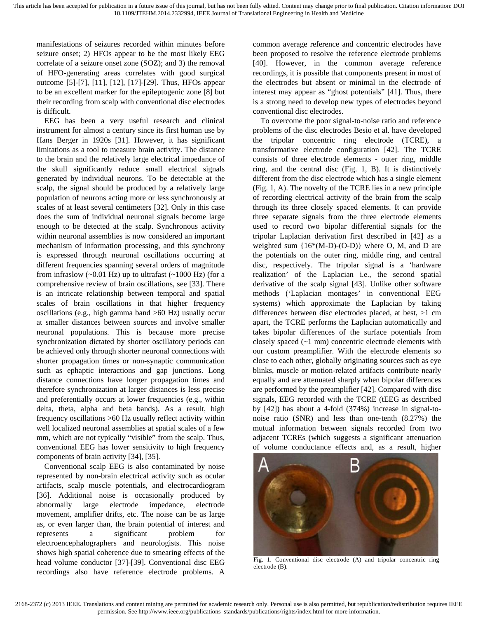manifestations of seizures recorded within minutes before seizure onset; 2) HFOs appear to be the most likely EEG correlate of a seizure onset zone (SOZ); and 3) the removal of HFO-generating areas correlates with good surgical outcome [5]-[7], [11], [12], [17]-[29]. Thus, HFOs appear to be an excellent marker for the epileptogenic zone [8] but their recording from scalp with conventional disc electrodes is difficult.

EEG has been a very useful research and clinical instrument for almost a century since its first human use by Hans Berger in 1920s [31]. However, it has significant limitations as a tool to measure brain activity. The distance to the brain and the relatively large electrical impedance of the skull significantly reduce small electrical signals generated by individual neurons. To be detectable at the scalp, the signal should be produced by a relatively large population of neurons acting more or less synchronously at scales of at least several centimeters [32]. Only in this case does the sum of individual neuronal signals become large enough to be detected at the scalp. Synchronous activity within neuronal assemblies is now considered an important mechanism of information processing, and this synchrony is expressed through neuronal oscillations occurring at different frequencies spanning several orders of magnitude from infraslow (~0.01 Hz) up to ultrafast (~1000 Hz) (for a comprehensive review of brain oscillations, see [33]. There is an intricate relationship between temporal and spatial scales of brain oscillations in that higher frequency oscillations (e.g., high gamma band >60 Hz) usually occur at smaller distances between sources and involve smaller neuronal populations. This is because more precise synchronization dictated by shorter oscillatory periods can be achieved only through shorter neuronal connections with shorter propagation times or non-synaptic communication such as ephaptic interactions and gap junctions. Long distance connections have longer propagation times and therefore synchronization at larger distances is less precise and preferentially occurs at lower frequencies (e.g., within delta, theta, alpha and beta bands). As a result, high frequency oscillations >60 Hz usually reflect activity within well localized neuronal assemblies at spatial scales of a few mm, which are not typically "visible" from the scalp. Thus, conventional EEG has lower sensitivity to high frequency components of brain activity [34], [35].

Conventional scalp EEG is also contaminated by noise represented by non-brain electrical activity such as ocular artifacts, scalp muscle potentials, and electrocardiogram [36]. Additional noise is occasionally produced by abnormally large electrode impedance, electrode movement, amplifier drifts, etc. The noise can be as large as, or even larger than, the brain potential of interest and represents a significant problem for electroencephalographers and neurologists. This noise shows high spatial coherence due to smearing effects of the head volume conductor [37]-[39]. Conventional disc EEG recordings also have reference electrode problems. A

common average reference and concentric electrodes have been proposed to resolve the reference electrode problems [40]. However, in the common average reference recordings, it is possible that components present in most of the electrodes but absent or minimal in the electrode of interest may appear as "ghost potentials" [41]. Thus, there is a strong need to develop new types of electrodes beyond conventional disc electrodes.

To overcome the poor signal-to-noise ratio and reference problems of the disc electrodes Besio et al. have developed the tripolar concentric ring electrode (TCRE), a transformative electrode configuration [42]. The TCRE consists of three electrode elements - outer ring, middle ring, and the central disc (Fig. 1, B). It is distinctively different from the disc electrode which has a single element (Fig. 1, A). The novelty of the TCRE lies in a new principle of recording electrical activity of the brain from the scalp through its three closely spaced elements. It can provide three separate signals from the three electrode elements used to record two bipolar differential signals for the tripolar Laplacian derivation first described in [42] as a weighted sum  ${16*(M-D)-(O-D)}$  where O, M, and D are the potentials on the outer ring, middle ring, and central disc, respectively. The tripolar signal is a 'hardware realization' of the Laplacian i.e., the second spatial derivative of the scalp signal [43]. Unlike other software methods ('Laplacian montages' in conventional EEG systems) which approximate the Laplacian by taking differences between disc electrodes placed, at best, >1 cm apart, the TCRE performs the Laplacian automatically and takes bipolar differences of the surface potentials from closely spaced (~1 mm) concentric electrode elements with our custom preamplifier. With the electrode elements so close to each other, globally originating sources such as eye blinks, muscle or motion-related artifacts contribute nearly equally and are attenuated sharply when bipolar differences are performed by the preamplifier [42]. Compared with disc signals, EEG recorded with the TCRE (tEEG as described by [42]) has about a 4-fold (374%) increase in signal-tonoise ratio (SNR) and less than one-tenth (8.27%) the mutual information between signals recorded from two adjacent TCREs (which suggests a significant attenuation of volume conductance effects and, as a result, higher



Fig. 1. Conventional disc electrode (A) and tripolar concentric ring electrode (B).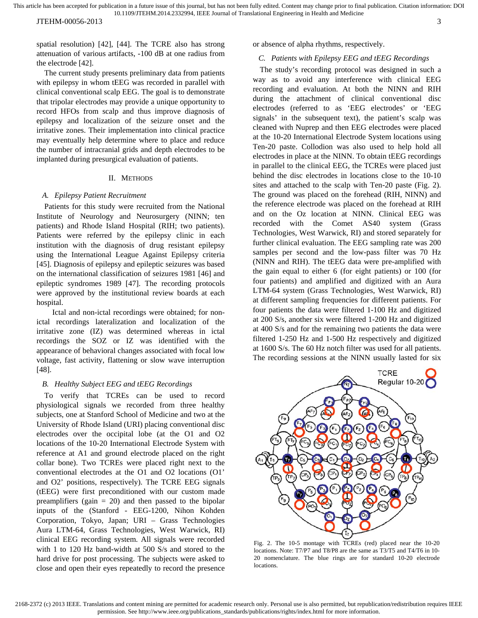spatial resolution) [42], [44]. The TCRE also has strong attenuation of various artifacts, -100 dB at one radius from the electrode [42].

The current study presents preliminary data from patients with epilepsy in whom tEEG was recorded in parallel with clinical conventional scalp EEG. The goal is to demonstrate that tripolar electrodes may provide a unique opportunity to record HFOs from scalp and thus improve diagnosis of epilepsy and localization of the seizure onset and the irritative zones. Their implementation into clinical practice may eventually help determine where to place and reduce the number of intracranial grids and depth electrodes to be implanted during presurgical evaluation of patients.

## II. METHODS

## *A. Epilepsy Patient Recruitment*

Patients for this study were recruited from the National Institute of Neurology and Neurosurgery (NINN; ten patients) and Rhode Island Hospital (RIH; two patients). Patients were referred by the epilepsy clinic in each institution with the diagnosis of drug resistant epilepsy using the International League Against Epilepsy criteria [45]. Diagnosis of epilepsy and epileptic seizures was based on the international classification of seizures 1981 [46] and epileptic syndromes 1989 [47]. The recording protocols were approved by the institutional review boards at each hospital.

 Ictal and non-ictal recordings were obtained; for nonictal recordings lateralization and localization of the irritative zone (IZ) was determined whereas in ictal recordings the SOZ or IZ was identified with the appearance of behavioral changes associated with focal low voltage, fast activity, flattening or slow wave interruption [48].

## *B. Healthy Subject EEG and tEEG Recordings*

To verify that TCREs can be used to record physiological signals we recorded from three healthy subjects, one at Stanford School of Medicine and two at the University of Rhode Island (URI) placing conventional disc electrodes over the occipital lobe (at the O1 and O2 locations of the 10-20 International Electrode System with reference at A1 and ground electrode placed on the right collar bone). Two TCREs were placed right next to the conventional electrodes at the O1 and O2 locations (O1' and O2' positions, respectively). The TCRE EEG signals (tEEG) were first preconditioned with our custom made preamplifiers (gain  $= 20$ ) and then passed to the bipolar inputs of the (Stanford - EEG-1200, Nihon Kohden Corporation, Tokyo, Japan; URI – Grass Technologies Aura LTM-64, Grass Technologies, West Warwick, RI) clinical EEG recording system. All signals were recorded with 1 to 120 Hz band-width at 500 S/s and stored to the hard drive for post processing. The subjects were asked to close and open their eyes repeatedly to record the presence

or absence of alpha rhythms, respectively.

## *C. Patients with Epilepsy EEG and tEEG Recordings*

The study's recording protocol was designed in such a way as to avoid any interference with clinical EEG recording and evaluation. At both the NINN and RIH during the attachment of clinical conventional disc electrodes (referred to as 'EEG electrodes' or 'EEG signals' in the subsequent text), the patient's scalp was cleaned with Nuprep and then EEG electrodes were placed at the 10-20 International Electrode System locations using Ten-20 paste. Collodion was also used to help hold all electrodes in place at the NINN. To obtain tEEG recordings in parallel to the clinical EEG, the TCREs were placed just behind the disc electrodes in locations close to the 10-10 sites and attached to the scalp with Ten-20 paste (Fig. 2). The ground was placed on the forehead (RIH, NINN) and the reference electrode was placed on the forehead at RIH and on the Oz location at NINN. Clinical EEG was recorded with the Comet AS40 system (Grass Technologies, West Warwick, RI) and stored separately for further clinical evaluation. The EEG sampling rate was 200 samples per second and the low-pass filter was 70 Hz (NINN and RIH). The tEEG data were pre-amplified with the gain equal to either 6 (for eight patients) or 100 (for four patients) and amplified and digitized with an Aura LTM-64 system (Grass Technologies, West Warwick, RI) at different sampling frequencies for different patients. For four patients the data were filtered 1-100 Hz and digitized at 200 S/s, another six were filtered 1-200 Hz and digitized at 400 S/s and for the remaining two patients the data were filtered 1-250 Hz and 1-500 Hz respectively and digitized at 1600 S/s. The 60 Hz notch filter was used for all patients. The recording sessions at the NINN usually lasted for six



Fig. 2. The 10-5 montage with TCREs (red) placed near the 10-20 locations. Note: T7/P7 and T8/P8 are the same as T3/T5 and T4/T6 in 10- 20 nomenclature. The blue rings are for standard 10-20 electrode locations.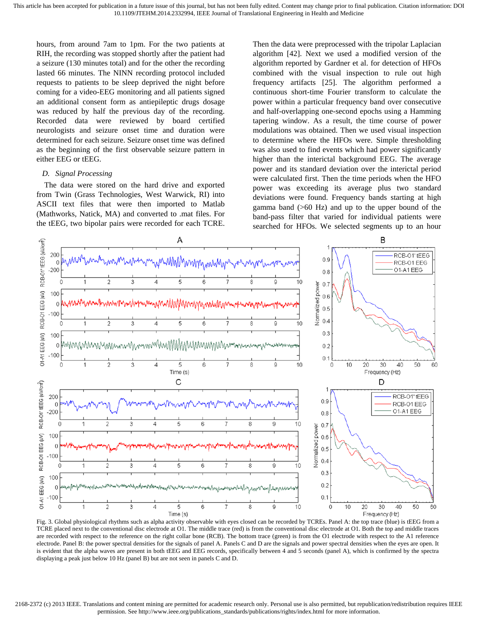hours, from around 7am to 1pm. For the two patients at RIH, the recording was stopped shortly after the patient had a seizure (130 minutes total) and for the other the recording lasted 66 minutes. The NINN recording protocol included requests to patients to be sleep deprived the night before coming for a video-EEG monitoring and all patients signed an additional consent form as antiepileptic drugs dosage was reduced by half the previous day of the recording. Recorded data were reviewed by board certified neurologists and seizure onset time and duration were determined for each seizure. Seizure onset time was defined as the beginning of the first observable seizure pattern in either EEG or tEEG.

#### *D. Signal Processing*

The data were stored on the hard drive and exported from Twin (Grass Technologies, West Warwick, RI) into ASCII text files that were then imported to Matlab (Mathworks, Natick, MA) and converted to .mat files. For the tEEG, two bipolar pairs were recorded for each TCRE.

Then the data were preprocessed with the tripolar Laplacian algorithm [42]. Next we used a modified version of the algorithm reported by Gardner et al. for detection of HFOs combined with the visual inspection to rule out high frequency artifacts [25]. The algorithm performed a continuous short-time Fourier transform to calculate the power within a particular frequency band over consecutive and half-overlapping one-second epochs using a Hamming tapering window. As a result, the time course of power modulations was obtained. Then we used visual inspection to determine where the HFOs were. Simple thresholding was also used to find events which had power significantly higher than the interictal background EEG. The average power and its standard deviation over the interictal period were calculated first. Then the time periods when the HFO power was exceeding its average plus two standard deviations were found. Frequency bands starting at high gamma band (>60 Hz) and up to the upper bound of the band-pass filter that varied for individual patients were searched for HFOs. We selected segments up to an hour



Fig. 3. Global physiological rhythms such as alpha activity observable with eyes closed can be recorded by TCREs. Panel A: the top trace (blue) is tEEG from a TCRE placed next to the conventional disc electrode at O1. The middle trace (red) is from the conventional disc electrode at O1. Both the top and middle traces are recorded with respect to the reference on the right collar bone (RCB). The bottom trace (green) is from the O1 electrode with respect to the A1 reference electrode. Panel B: the power spectral densities for the signals of panel A. Panels C and D are the signals and power spectral densities when the eyes are open. It is evident that the alpha waves are present in both tEEG and EEG records, specifically between 4 and 5 seconds (panel A), which is confirmed by the spectra displaying a peak just below 10 Hz (panel B) but are not seen in panels C and D.

2168-2372 (c) 2013 IEEE. Translations and content mining are permitted for academic research only. Personal use is also permitted, but republication/redistribution requires IEEE permission. See http://www.ieee.org/publications\_standards/publications/rights/index.html for more information.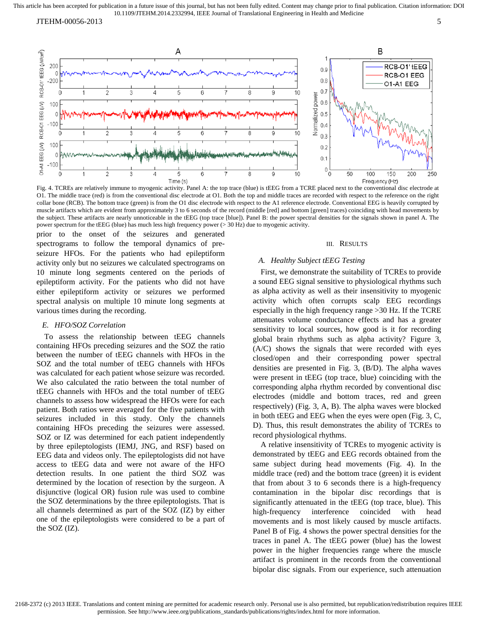$JTEHM-00056-2013$  5



Fig. 4. TCREs are relatively immune to myogenic activity. Panel A: the top trace (blue) is tEEG from a TCRE placed next to the conventional disc electrode at O1. The middle trace (red) is from the conventional disc electrode at O1. Both the top and middle traces are recorded with respect to the reference on the right collar bone (RCB). The bottom trace (green) is from the O1 disc electrode with respect to the A1 reference electrode. Conventional EEG is heavily corrupted by muscle artifacts which are evident from approximately 3 to 6 seconds of the record (middle [red] and bottom [green] traces) coinciding with head movements by the subject. These artifacts are nearly unnoticeable in the tEEG (top trace [blue]). Panel B: the power spectral densities for the signals shown in panel A. The power spectrum for the tEEG (blue) has much less high frequency power (> 30 Hz) due to myogenic activity.

prior to the onset of the seizures and generated spectrograms to follow the temporal dynamics of preseizure HFOs. For the patients who had epileptiform activity only but no seizures we calculated spectrograms on 10 minute long segments centered on the periods of epileptiform activity. For the patients who did not have either epileptiform activity or seizures we performed spectral analysis on multiple 10 minute long segments at various times during the recording.

#### *E. HFO/SOZ Correlation*

 To assess the relationship between tEEG channels containing HFOs preceding seizures and the SOZ the ratio between the number of tEEG channels with HFOs in the SOZ and the total number of tEEG channels with HFOs was calculated for each patient whose seizure was recorded. We also calculated the ratio between the total number of tEEG channels with HFOs and the total number of tEEG channels to assess how widespread the HFOs were for each patient. Both ratios were averaged for the five patients with seizures included in this study. Only the channels containing HFOs preceding the seizures were assessed. SOZ or IZ was determined for each patient independently by three epileptologists (IEMJ, JNG, and RSF) based on EEG data and videos only. The epileptologists did not have access to tEEG data and were not aware of the HFO detection results. In one patient the third SOZ was determined by the location of resection by the surgeon. A disjunctive (logical OR) fusion rule was used to combine the SOZ determinations by the three epileptologists. That is all channels determined as part of the SOZ (IZ) by either one of the epileptologists were considered to be a part of the SOZ (IZ).

## III. RESULTS

#### *A. Healthy Subject tEEG Testing*

First, we demonstrate the suitability of TCREs to provide a sound EEG signal sensitive to physiological rhythms such as alpha activity as well as their insensitivity to myogenic activity which often corrupts scalp EEG recordings especially in the high frequency range >30 Hz. If the TCRE attenuates volume conductance effects and has a greater sensitivity to local sources, how good is it for recording global brain rhythms such as alpha activity? Figure 3, (A/C) shows the signals that were recorded with eyes closed/open and their corresponding power spectral densities are presented in Fig. 3, (B/D). The alpha waves were present in tEEG (top trace, blue) coinciding with the corresponding alpha rhythm recorded by conventional disc electrodes (middle and bottom traces, red and green respectively) (Fig. 3, A, B). The alpha waves were blocked in both tEEG and EEG when the eyes were open (Fig. 3, C, D). Thus, this result demonstrates the ability of TCREs to record physiological rhythms.

A relative insensitivity of TCREs to myogenic activity is demonstrated by tEEG and EEG records obtained from the same subject during head movements (Fig. 4). In the middle trace (red) and the bottom trace (green) it is evident that from about 3 to 6 seconds there is a high-frequency contamination in the bipolar disc recordings that is significantly attenuated in the tEEG (top trace, blue). This high-frequency interference coincided with head movements and is most likely caused by muscle artifacts. Panel B of Fig. 4 shows the power spectral densities for the traces in panel A. The tEEG power (blue) has the lowest power in the higher frequencies range where the muscle artifact is prominent in the records from the conventional bipolar disc signals. From our experience, such attenuation

2168-2372 (c) 2013 IEEE. Translations and content mining are permitted for academic research only. Personal use is also permitted, but republication/redistribution requires IEEE permission. See http://www.ieee.org/publications\_standards/publications/rights/index.html for more information.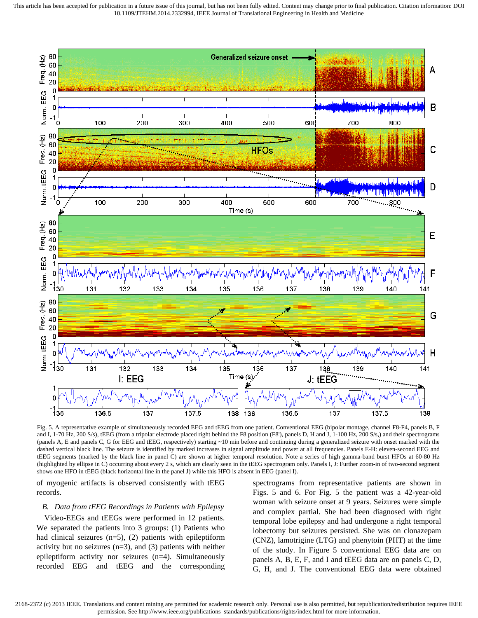

Fig. 5. A representative example of simultaneously recorded EEG and tEEG from one patient. Conventional EEG (bipolar montage, channel F8-F4, panels B, F and I, 1-70 Hz, 200 S/s), tEEG (from a tripolar electrode placed right behind the F8 position (F8'), panels D, H and J, 1-100 Hz, 200 S/s,) and their spectrograms (panels A, E and panels C, G for EEG and tEEG, respectively) starting ~10 min before and continuing during a generalized seizure with onset marked with the dashed vertical black line. The seizure is identified by marked increases in signal amplitude and power at all frequencies. Panels E-H: eleven-second EEG and tEEG segments (marked by the black line in panel C) are shown at higher temporal resolution. Note a series of high gamma-band burst HFOs at 60-80 Hz (highlighted by ellipse in C) occurring about every 2 s, which are clearly seen in the tEEG spectrogram only. Panels I, J: Further zoom-in of two-second segment shows one HFO in tEEG (black horizontal line in the panel J) while this HFO is absent in EEG (panel I).

of myogenic artifacts is observed consistently with tEEG records.

#### *B. Data from tEEG Recordings in Patients with Epilepsy*

Video-EEGs and tEEGs were performed in 12 patients. We separated the patients into 3 groups: (1) Patients who had clinical seizures (n=5), (2) patients with epileptiform activity but no seizures  $(n=3)$ , and  $(3)$  patients with neither epileptiform activity nor seizures (n=4). Simultaneously recorded EEG and tEEG and the corresponding spectrograms from representative patients are shown in Figs. 5 and 6. For Fig. 5 the patient was a 42-year-old woman with seizure onset at 9 years. Seizures were simple and complex partial. She had been diagnosed with right temporal lobe epilepsy and had undergone a right temporal lobectomy but seizures persisted. She was on clonazepam (CNZ), lamotrigine (LTG) and phenytoin (PHT) at the time of the study. In Figure 5 conventional EEG data are on panels A, B, E, F, and I and tEEG data are on panels C, D, G, H, and J. The conventional EEG data were obtained

2168-2372 (c) 2013 IEEE. Translations and content mining are permitted for academic research only. Personal use is also permitted, but republication/redistribution requires IEEE permission. See http://www.ieee.org/publications\_standards/publications/rights/index.html for more information.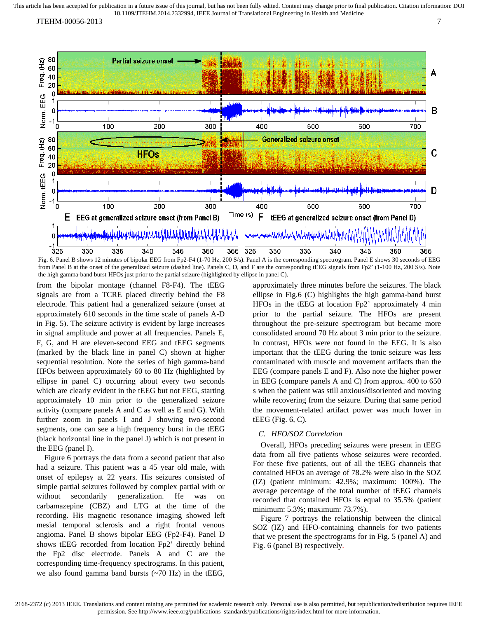$JTEHM-00056-2013$   $7$ 



Fig. 6. Panel B shows 12 minutes of bipolar EEG from Fp2-F4 (1-70 Hz, 200 S/s). Panel A is the corresponding spectrogram. Panel E shows 30 seconds of EEG from Panel B at the onset of the generalized seizure (dashed line). Panels C, D, and F are the corresponding tEEG signals from Fp2' (1-100 Hz, 200 S/s). Note the high gamma-band burst HFOs just prior to the partial seizure (highlighted by ellipse in panel C).

from the bipolar montage (channel F8-F4). The tEEG signals are from a TCRE placed directly behind the F8 electrode. This patient had a generalized seizure (onset at approximately 610 seconds in the time scale of panels A-D in Fig. 5). The seizure activity is evident by large increases in signal amplitude and power at all frequencies. Panels E, F, G, and H are eleven-second EEG and tEEG segments (marked by the black line in panel C) shown at higher sequential resolution. Note the series of high gamma-band HFOs between approximately 60 to 80 Hz (highlighted by ellipse in panel C) occurring about every two seconds which are clearly evident in the tEEG but not EEG, starting approximately 10 min prior to the generalized seizure activity (compare panels A and C as well as E and G). With further zoom in panels I and J showing two-second segments, one can see a high frequency burst in the tEEG (black horizontal line in the panel J) which is not present in the EEG (panel I).

Figure 6 portrays the data from a second patient that also had a seizure. This patient was a 45 year old male, with onset of epilepsy at 22 years. His seizures consisted of simple partial seizures followed by complex partial with or without secondarily generalization. He was on carbamazepine (CBZ) and LTG at the time of the recording. His magnetic resonance imaging showed left mesial temporal sclerosis and a right frontal venous angioma. Panel B shows bipolar EEG (Fp2-F4). Panel D shows tEEG recorded from location Fp2' directly behind the Fp2 disc electrode. Panels A and C are the corresponding time-frequency spectrograms. In this patient, we also found gamma band bursts  $(-70 \text{ Hz})$  in the tEEG,

approximately three minutes before the seizures. The black ellipse in Fig.6 (C) highlights the high gamma-band burst HFOs in the tEEG at location Fp2' approximately 4 min prior to the partial seizure. The HFOs are present throughout the pre-seizure spectrogram but became more consolidated around 70 Hz about 3 min prior to the seizure. In contrast, HFOs were not found in the EEG. It is also important that the tEEG during the tonic seizure was less contaminated with muscle and movement artifacts than the EEG (compare panels E and F). Also note the higher power in EEG (compare panels A and C) from approx. 400 to 650 s when the patient was still anxious/disoriented and moving while recovering from the seizure. During that same period the movement-related artifact power was much lower in tEEG (Fig. 6, C).

#### *C. HFO/SOZ Correlation*

 Overall, HFOs preceding seizures were present in tEEG data from all five patients whose seizures were recorded. For these five patients, out of all the tEEG channels that contained HFOs an average of 78.2% were also in the SOZ (IZ) (patient minimum: 42.9%; maximum: 100%). The average percentage of the total number of tEEG channels recorded that contained HFOs is equal to 35.5% (patient minimum: 5.3%; maximum: 73.7%).

 Figure 7 portrays the relationship between the clinical SOZ (IZ) and HFO-containing channels for two patients that we present the spectrograms for in Fig. 5 (panel A) and Fig. 6 (panel B) respectively.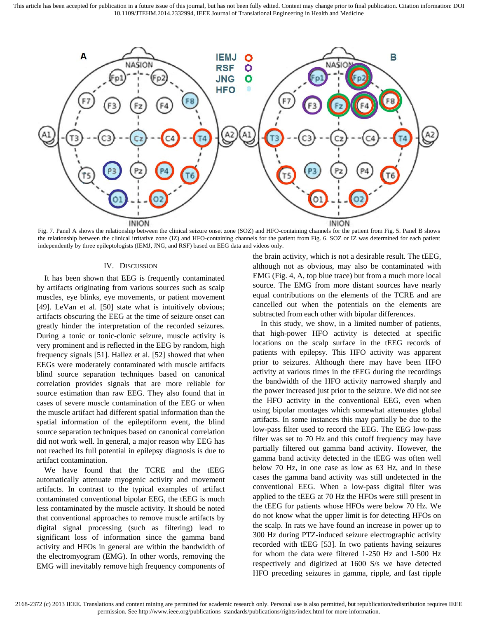

Fig. 7. Panel A shows the relationship between the clinical seizure onset zone (SOZ) and HFO-containing channels for the patient from Fig. 5. Panel B shows the relationship between the clinical irritative zone (IZ) and HFO-containing channels for the patient from Fig. 6. SOZ or IZ was determined for each patient independently by three epileptologists (IEMJ, JNG, and RSF) based on EEG data and videos only.

#### IV. DISCUSSION

It has been shown that EEG is frequently contaminated by artifacts originating from various sources such as scalp muscles, eye blinks, eye movements, or patient movement [49]. LeVan et al. [50] state what is intuitively obvious; artifacts obscuring the EEG at the time of seizure onset can greatly hinder the interpretation of the recorded seizures. During a tonic or tonic-clonic seizure, muscle activity is very prominent and is reflected in the EEG by random, high frequency signals [51]. Hallez et al. [52] showed that when EEGs were moderately contaminated with muscle artifacts blind source separation techniques based on canonical correlation provides signals that are more reliable for source estimation than raw EEG. They also found that in cases of severe muscle contamination of the EEG or when the muscle artifact had different spatial information than the spatial information of the epileptiform event, the blind source separation techniques based on canonical correlation did not work well. In general, a major reason why EEG has not reached its full potential in epilepsy diagnosis is due to artifact contamination.

We have found that the TCRE and the tEEG automatically attenuate myogenic activity and movement artifacts. In contrast to the typical examples of artifact contaminated conventional bipolar EEG, the tEEG is much less contaminated by the muscle activity. It should be noted that conventional approaches to remove muscle artifacts by digital signal processing (such as filtering) lead to significant loss of information since the gamma band activity and HFOs in general are within the bandwidth of the electromyogram (EMG). In other words, removing the EMG will inevitably remove high frequency components of the brain activity, which is not a desirable result. The tEEG, although not as obvious, may also be contaminated with EMG (Fig. 4, A, top blue trace) but from a much more local source. The EMG from more distant sources have nearly equal contributions on the elements of the TCRE and are cancelled out when the potentials on the elements are subtracted from each other with bipolar differences.

In this study, we show, in a limited number of patients, that high-power HFO activity is detected at specific locations on the scalp surface in the tEEG records of patients with epilepsy. This HFO activity was apparent prior to seizures. Although there may have been HFO activity at various times in the tEEG during the recordings the bandwidth of the HFO activity narrowed sharply and the power increased just prior to the seizure. We did not see the HFO activity in the conventional EEG, even when using bipolar montages which somewhat attenuates global artifacts. In some instances this may partially be due to the low-pass filter used to record the EEG. The EEG low-pass filter was set to 70 Hz and this cutoff frequency may have partially filtered out gamma band activity. However, the gamma band activity detected in the tEEG was often well below 70 Hz, in one case as low as 63 Hz, and in these cases the gamma band activity was still undetected in the conventional EEG. When a low-pass digital filter was applied to the tEEG at 70 Hz the HFOs were still present in the tEEG for patients whose HFOs were below 70 Hz. We do not know what the upper limit is for detecting HFOs on the scalp. In rats we have found an increase in power up to 300 Hz during PTZ-induced seizure electrographic activity recorded with tEEG [53]. In two patients having seizures for whom the data were filtered 1-250 Hz and 1-500 Hz respectively and digitized at 1600 S/s we have detected HFO preceding seizures in gamma, ripple, and fast ripple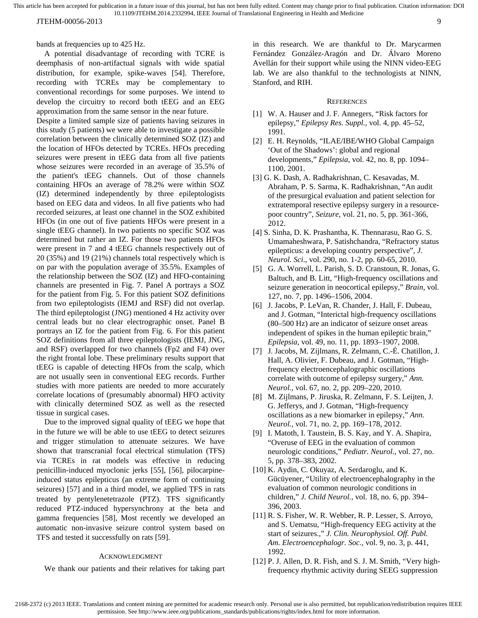JTEHM-00056-2013 9

bands at frequencies up to 425 Hz.

A potential disadvantage of recording with TCRE is deemphasis of non-artifactual signals with wide spatial distribution, for example, spike-waves [54]. Therefore, recording with TCREs may be complementary to conventional recordings for some purposes. We intend to develop the circuitry to record both tEEG and an EEG approximation from the same sensor in the near future.

Despite a limited sample size of patients having seizures in this study (5 patients) we were able to investigate a possible correlation between the clinically determined SOZ (IZ) and the location of HFOs detected by TCREs. HFOs preceding seizures were present in tEEG data from all five patients whose seizures were recorded in an average of 35.5% of the patient's tEEG channels. Out of those channels containing HFOs an average of 78.2% were within SOZ (IZ) determined independently by three epileptologists based on EEG data and videos. In all five patients who had recorded seizures, at least one channel in the SOZ exhibited HFOs (in one out of five patients HFOs were present in a single tEEG channel). In two patients no specific SOZ was determined but rather an IZ. For those two patients HFOs were present in 7 and 4 tEEG channels respectively out of 20 (35%) and 19 (21%) channels total respectively which is on par with the population average of 35.5%. Examples of the relationship between the SOZ (IZ) and HFO-containing channels are presented in Fig. 7. Panel A portrays a SOZ for the patient from Fig. 5. For this patient SOZ definitions from two epileptologists (IEMJ and RSF) did not overlap. The third epileptologist (JNG) mentioned 4 Hz activity over central leads but no clear electrographic onset. Panel B portrays an IZ for the patient from Fig. 6. For this patient SOZ definitions from all three epileptologists (IEMJ, JNG, and RSF) overlapped for two channels (Fp2 and F4) over the right frontal lobe. These preliminary results support that tEEG is capable of detecting HFOs from the scalp, which are not usually seen in conventional EEG records. Further studies with more patients are needed to more accurately correlate locations of (presumably abnormal) HFO activity with clinically determined SOZ as well as the resected tissue in surgical cases.

Due to the improved signal quality of tEEG we hope that in the future we will be able to use tEEG to detect seizures and trigger stimulation to attenuate seizures. We have shown that transcranial focal electrical stimulation (TFS) via TCREs in rat models was effective in reducing penicillin-induced myoclonic jerks [55], [56], pilocarpineinduced status epilepticus (an extreme form of continuing seizures) [57] and in a third model, we applied TFS in rats treated by pentylenetetrazole (PTZ). TFS significantly reduced PTZ-induced hypersynchrony at the beta and gamma frequencies [58], Most recently we developed an automatic non-invasive seizure control system based on TFS and tested it successfully on rats [59].

#### ACKNOWLEDGMENT

We thank our patients and their relatives for taking part

in this research. We are thankful to Dr. Marycarmen Fernández González-Aragón and Dr. Álvaro Moreno Avellán for their support while using the NINN video-EEG lab. We are also thankful to the technologists at NINN, Stanford, and RIH.

#### **REFERENCES**

- [1] W. A. Hauser and J. F. Annegers, "Risk factors for epilepsy," *Epilepsy Res. Suppl.*, vol. 4, pp. 45–52, 1991.
- [2] E. H. Reynolds, "ILAE/IBE/WHO Global Campaign 'Out of the Shadows': global and regional developments," *Epilepsia*, vol. 42, no. 8, pp. 1094– 1100, 2001.
- [3] G. K. Dash, A. Radhakrishnan, C. Kesavadas, M. Abraham, P. S. Sarma, K. Radhakrishnan, "An audit of the presurgical evaluation and patient selection for extratemporal resective epilepsy surgery in a resourcepoor country", *Seizure*, vol. 21, no. 5, pp. 361-366, 2012.
- [4] S. Sinha, D. K. Prashantha, K. Thennarasu, Rao G. S. Umamaheshwara, P. Satishchandra, "Refractory status epilepticus: a developing country perspective", *J. Neurol. Sci*., vol. 290, no. 1-2, pp. 60-65, 2010.
- [5] G. A. Worrell, L. Parish, S. D. Cranstoun, R. Jonas, G. Baltuch, and B. Litt, "High-frequency oscillations and seizure generation in neocortical epilepsy," *Brain*, vol. 127, no. 7, pp. 1496–1506, 2004.
- [6] J. Jacobs, P. LeVan, R. Chander, J. Hall, F. Dubeau, and J. Gotman, "Interictal high-frequency oscillations (80–500 Hz) are an indicator of seizure onset areas independent of spikes in the human epileptic brain," *Epilepsia*, vol. 49, no. 11, pp. 1893–1907, 2008.
- [7] J. Jacobs, M. Zijlmans, R. Zelmann, C.-É. Chatillon, J. Hall, A. Olivier, F. Dubeau, and J. Gotman, "Highfrequency electroencephalographic oscillations correlate with outcome of epilepsy surgery," *Ann. Neurol.*, vol. 67, no. 2, pp. 209–220, 2010.
- [8] M. Zijlmans, P. Jiruska, R. Zelmann, F. S. Leijten, J. G. Jefferys, and J. Gotman, "High-frequency oscillations as a new biomarker in epilepsy," *Ann. Neurol.*, vol. 71, no. 2, pp. 169–178, 2012.
- [9] I. Matoth, I. Taustein, B. S. Kay, and Y. A. Shapira, "Overuse of EEG in the evaluation of common neurologic conditions," *Pediatr. Neurol.*, vol. 27, no. 5, pp. 378–383, 2002.
- [10] K. Aydin, C. Okuyaz, A. Serdaroglu, and K. Gücüyener, "Utility of electroencephalography in the evaluation of common neurologic conditions in children," *J. Child Neurol.*, vol. 18, no. 6, pp. 394– 396, 2003.
- [11] R. S. Fisher, W. R. Webber, R. P. Lesser, S. Arroyo, and S. Uematsu, "High-frequency EEG activity at the start of seizures.," *J. Clin. Neurophysiol. Off. Publ. Am. Electroencephalogr. Soc.*, vol. 9, no. 3, p. 441, 1992.
- [12] P. J. Allen, D. R. Fish, and S. J. M. Smith, "Very highfrequency rhythmic activity during SEEG suppression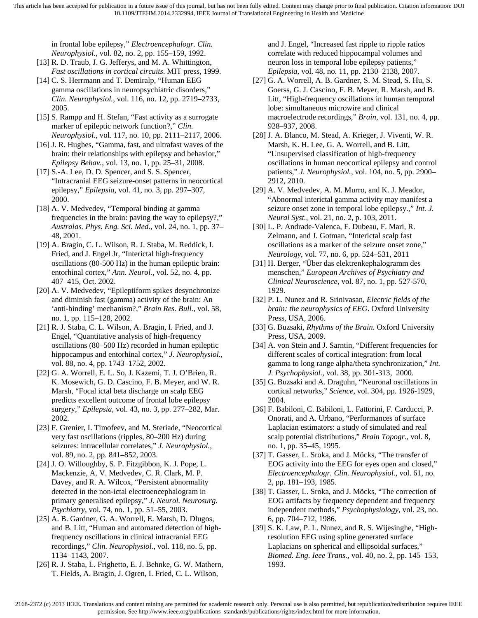in frontal lobe epilepsy," *Electroencephalogr. Clin. Neurophysiol.*, vol. 82, no. 2, pp. 155–159, 1992.

- [13] R. D. Traub, J. G. Jefferys, and M. A. Whittington, *Fast oscillations in cortical circuits*. MIT press, 1999.
- [14] C. S. Herrmann and T. Demiralp, "Human EEG gamma oscillations in neuropsychiatric disorders," *Clin. Neurophysiol.*, vol. 116, no. 12, pp. 2719–2733, 2005.
- [15] S. Rampp and H. Stefan, "Fast activity as a surrogate marker of epileptic network function?," *Clin. Neurophysiol.*, vol. 117, no. 10, pp. 2111–2117, 2006.
- [16] J. R. Hughes, "Gamma, fast, and ultrafast waves of the brain: their relationships with epilepsy and behavior," *Epilepsy Behav.*, vol. 13, no. 1, pp. 25–31, 2008.
- [17] S.-A. Lee, D. D. Spencer, and S. S. Spencer, "Intracranial EEG seizure-onset patterns in neocortical epilepsy," *Epilepsia*, vol. 41, no. 3, pp. 297–307, 2000.
- [18] A. V. Medvedev, "Temporal binding at gamma frequencies in the brain: paving the way to epilepsy?," *Australas. Phys. Eng. Sci. Med.*, vol. 24, no. 1, pp. 37– 48, 2001.
- [19] A. Bragin, C. L. Wilson, R. J. Staba, M. Reddick, I. Fried, and J. Engel Jr, "Interictal high-frequency oscillations (80-500 Hz) in the human epileptic brain: entorhinal cortex," *Ann. Neurol.*, vol. 52, no. 4, pp. 407–415, Oct. 2002.
- [20] A. V. Medvedev, "Epileptiform spikes desynchronize and diminish fast (gamma) activity of the brain: An 'anti-binding' mechanism?," *Brain Res. Bull.*, vol. 58, no. 1, pp. 115–128, 2002.
- [21] R. J. Staba, C. L. Wilson, A. Bragin, I. Fried, and J. Engel, "Quantitative analysis of high-frequency oscillations (80–500 Hz) recorded in human epileptic hippocampus and entorhinal cortex," *J. Neurophysiol.*, vol. 88, no. 4, pp. 1743–1752, 2002.
- [22] G. A. Worrell, E. L. So, J. Kazemi, T. J. O'Brien, R. K. Mosewich, G. D. Cascino, F. B. Meyer, and W. R. Marsh, "Focal ictal beta discharge on scalp EEG predicts excellent outcome of frontal lobe epilepsy surgery," *Epilepsia*, vol. 43, no. 3, pp. 277–282, Mar. 2002.
- [23] F. Grenier, I. Timofeev, and M. Steriade, "Neocortical very fast oscillations (ripples, 80–200 Hz) during seizures: intracellular correlates," *J. Neurophysiol.*, vol. 89, no. 2, pp. 841–852, 2003.
- [24] J. O. Willoughby, S. P. Fitzgibbon, K. J. Pope, L. Mackenzie, A. V. Medvedev, C. R. Clark, M. P. Davey, and R. A. Wilcox, "Persistent abnormality detected in the non-ictal electroencephalogram in primary generalised epilepsy," *J. Neurol. Neurosurg. Psychiatry*, vol. 74, no. 1, pp. 51–55, 2003.
- [25] A. B. Gardner, G. A. Worrell, E. Marsh, D. Dlugos, and B. Litt, "Human and automated detection of highfrequency oscillations in clinical intracranial EEG recordings," *Clin. Neurophysiol.*, vol. 118, no. 5, pp. 1134–1143, 2007.
- [26] R. J. Staba, L. Frighetto, E. J. Behnke, G. W. Mathern, T. Fields, A. Bragin, J. Ogren, I. Fried, C. L. Wilson,

and J. Engel, "Increased fast ripple to ripple ratios correlate with reduced hippocampal volumes and neuron loss in temporal lobe epilepsy patients," *Epilepsia*, vol. 48, no. 11, pp. 2130–2138, 2007.

- [27] G. A. Worrell, A. B. Gardner, S. M. Stead, S. Hu, S. Goerss, G. J. Cascino, F. B. Meyer, R. Marsh, and B. Litt, "High-frequency oscillations in human temporal lobe: simultaneous microwire and clinical macroelectrode recordings," *Brain*, vol. 131, no. 4, pp. 928–937, 2008.
- [28] J. A. Blanco, M. Stead, A. Krieger, J. Viventi, W. R. Marsh, K. H. Lee, G. A. Worrell, and B. Litt, "Unsupervised classification of high-frequency oscillations in human neocortical epilepsy and control patients," *J. Neurophysiol.*, vol. 104, no. 5, pp. 2900– 2912, 2010.
- [29] A. V. Medvedev, A. M. Murro, and K. J. Meador, "Abnormal interictal gamma activity may manifest a seizure onset zone in temporal lobe epilepsy.," *Int. J. Neural Syst.*, vol. 21, no. 2, p. 103, 2011.
- [30] L. P. Andrade-Valenca, F. Dubeau, F. Mari, R. Zelmann, and J. Gotman, "Interictal scalp fast oscillations as a marker of the seizure onset zone," *Neurology*, vol. 77, no. 6, pp. 524–531, 2011
- [31] H. Berger, "Über das elektrenkephalogramm des menschen," *European Archives of Psychiatry and Clinical Neuroscience*, vol. 87, no. 1, pp. 527-570, 1929.
- [32] P. L. Nunez and R. Srinivasan, *Electric fields of the brain: the neurophysics of EEG*. Oxford University Press, USA, 2006.
- [33] G. Buzsaki, *Rhythms of the Brain*. Oxford University Press, USA, 2009.
- [34] A. von Stein and J. Sarntin, "Different frequencies for different scales of cortical integration: from local gamma to long range alpha/theta synchronization," *Int. J. Psychophysiol.*, vol. 38, pp. 301-313, 2000.
- [35] G. Buzsaki and A. Draguhn, "Neuronal oscillations in cortical networks," *Science*, vol. 304, pp. 1926-1929, 2004.
- [36] F. Babiloni, C. Babiloni, L. Fattorini, F. Carducci, P. Onorati, and A. Urbano, "Performances of surface Laplacian estimators: a study of simulated and real scalp potential distributions," *Brain Topogr.*, vol. 8, no. 1, pp. 35–45, 1995.
- [37] T. Gasser, L. Sroka, and J. Möcks, "The transfer of EOG activity into the EEG for eyes open and closed," *Electroencephalogr. Clin. Neurophysiol.*, vol. 61, no. 2, pp. 181–193, 1985.
- [38] T. Gasser, L. Sroka, and J. Möcks, "The correction of EOG artifacts by frequency dependent and frequency independent methods," *Psychophysiology*, vol. 23, no. 6, pp. 704–712, 1986.
- [39] S. K. Law, P. L. Nunez, and R. S. Wijesinghe, "Highresolution EEG using spline generated surface Laplacians on spherical and ellipsoidal surfaces," *Biomed. Eng. Ieee Trans.*, vol. 40, no. 2, pp. 145–153, 1993.

<sup>2168-2372 (</sup>c) 2013 IEEE. Translations and content mining are permitted for academic research only. Personal use is also permitted, but republication/redistribution requires IEEE permission. See http://www.ieee.org/publications\_standards/publications/rights/index.html for more information.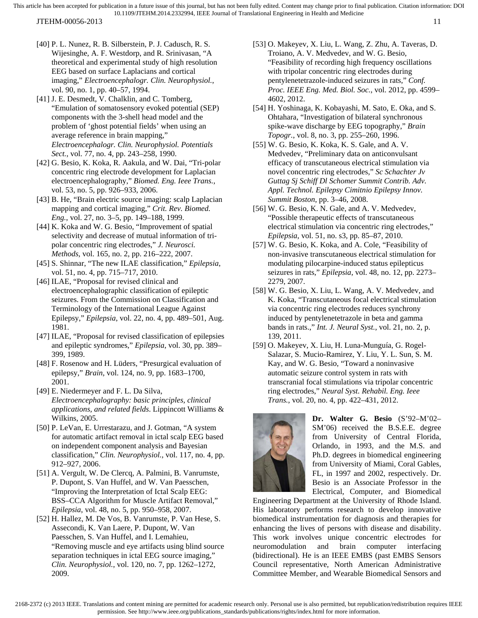JTEHM-00056-2013 11

- [40] P. L. Nunez, R. B. Silberstein, P. J. Cadusch, R. S. Wijesinghe, A. F. Westdorp, and R. Srinivasan, "A theoretical and experimental study of high resolution EEG based on surface Laplacians and cortical imaging," *Electroencephalogr. Clin. Neurophysiol.*, vol. 90, no. 1, pp. 40–57, 1994.
- [41] J. E. Desmedt, V. Chalklin, and C. Tomberg, "Emulation of somatosensory evoked potential (SEP) components with the 3-shell head model and the problem of 'ghost potential fields' when using an average reference in brain mapping," *Electroencephalogr. Clin. Neurophysiol. Potentials Sect.*, vol. 77, no. 4, pp. 243–258, 1990.
- [42] G. Besio, K. Koka, R. Aakula, and W. Dai, "Tri-polar concentric ring electrode development for Laplacian electroencephalography," *Biomed. Eng. Ieee Trans.*, vol. 53, no. 5, pp. 926–933, 2006.
- [43] B. He, "Brain electric source imaging: scalp Laplacian mapping and cortical imaging," *Crit. Rev. Biomed. Eng.*, vol. 27, no. 3–5, pp. 149–188, 1999.
- [44] K. Koka and W. G. Besio, "Improvement of spatial selectivity and decrease of mutual information of tripolar concentric ring electrodes," *J. Neurosci. Methods*, vol. 165, no. 2, pp. 216–222, 2007.
- [45] S. Shinnar, "The new ILAE classification," *Epilepsia*, vol. 51, no. 4, pp. 715–717, 2010.
- [46] ILAE, "Proposal for revised clinical and electroencephalographic classification of epileptic seizures. From the Commission on Classification and Terminology of the International League Against Epilepsy," *Epilepsia*, vol. 22, no. 4, pp. 489–501, Aug. 1981.
- [47] ILAE, "Proposal for revised classification of epilepsies and epileptic syndromes," *Epilepsia*, vol. 30, pp. 389– 399, 1989.
- [48] F. Rosenow and H. Lüders, "Presurgical evaluation of epilepsy," *Brain*, vol. 124, no. 9, pp. 1683–1700, 2001.
- [49] E. Niedermeyer and F. L. Da Silva, *Electroencephalography: basic principles, clinical applications, and related fields*. Lippincott Williams & Wilkins, 2005.
- [50] P. LeVan, E. Urrestarazu, and J. Gotman, "A system for automatic artifact removal in ictal scalp EEG based on independent component analysis and Bayesian classification," *Clin. Neurophysiol.*, vol. 117, no. 4, pp. 912–927, 2006.
- [51] A. Vergult, W. De Clercq, A. Palmini, B. Vanrumste, P. Dupont, S. Van Huffel, and W. Van Paesschen, "Improving the Interpretation of Ictal Scalp EEG: BSS–CCA Algorithm for Muscle Artifact Removal," *Epilepsia*, vol. 48, no. 5, pp. 950–958, 2007.
- [52] H. Hallez, M. De Vos, B. Vanrumste, P. Van Hese, S. Assecondi, K. Van Laere, P. Dupont, W. Van Paesschen, S. Van Huffel, and I. Lemahieu, "Removing muscle and eye artifacts using blind source separation techniques in ictal EEG source imaging," *Clin. Neurophysiol.*, vol. 120, no. 7, pp. 1262–1272, 2009.
- [53] O. Makeyev, X. Liu, L. Wang, Z. Zhu, A. Taveras, D. Troiano, A. V. Medvedev, and W. G. Besio, "Feasibility of recording high frequency oscillations with tripolar concentric ring electrodes during pentylenetetrazole-induced seizures in rats," *Conf. Proc. IEEE Eng. Med. Biol. Soc.*, vol. 2012, pp. 4599– 4602, 2012.
- [54] H. Yoshinaga, K. Kobayashi, M. Sato, E. Oka, and S. Ohtahara, "Investigation of bilateral synchronous spike-wave discharge by EEG topography," *Brain Topogr.*, vol. 8, no. 3, pp. 255–260, 1996.
- [55] W. G. Besio, K. Koka, K. S. Gale, and A. V. Medvedev, "Preliminary data on anticonvulsant efficacy of transcutaneous electrical stimulation via novel concentric ring electrodes," *Sc Schachter Jv Guttag Sj Schiff Dl Schomer Summit Contrib. Adv. Appl. Technol. Epilepsy Cimitnio Epilepsy Innov. Summit Boston*, pp. 3–46, 2008.
- [56] W. G. Besio, K. N. Gale, and A. V. Medvedev, "Possible therapeutic effects of transcutaneous electrical stimulation via concentric ring electrodes," *Epilepsia*, vol. 51, no. s3, pp. 85–87, 2010.
- [57] W. G. Besio, K. Koka, and A. Cole, "Feasibility of non-invasive transcutaneous electrical stimulation for modulating pilocarpine-induced status epilepticus seizures in rats," *Epilepsia*, vol. 48, no. 12, pp. 2273– 2279, 2007.
- [58] W. G. Besio, X. Liu, L. Wang, A. V. Medvedev, and K. Koka, "Transcutaneous focal electrical stimulation via concentric ring electrodes reduces synchrony induced by pentylenetetrazole in beta and gamma bands in rats.," *Int. J. Neural Syst.*, vol. 21, no. 2, p. 139, 2011.
- [59] O. Makeyev, X. Liu, H. Luna-Munguía, G. Rogel-Salazar, S. Mucio-Ramirez, Y. Liu, Y. L. Sun, S. M. Kay, and W. G. Besio, "Toward a noninvasive automatic seizure control system in rats with transcranial focal stimulations via tripolar concentric ring electrodes," *Neural Syst. Rehabil. Eng. Ieee Trans.*, vol. 20, no. 4, pp. 422–431, 2012.



**Dr. Walter G. Besio** (S'92–M'02– SM'06) received the B.S.E.E. degree from University of Central Florida, Orlando, in 1993, and the M.S. and Ph.D. degrees in biomedical engineering from University of Miami, Coral Gables, FL, in 1997 and 2002, respectively. Dr. Besio is an Associate Professor in the Electrical, Computer, and Biomedical

Engineering Department at the University of Rhode Island. His laboratory performs research to develop innovative biomedical instrumentation for diagnosis and therapies for enhancing the lives of persons with disease and disability. This work involves unique concentric electrodes for neuromodulation and brain computer interfacing (bidirectional). He is an IEEE EMBS (past EMBS Sensors Council representative, North American Administrative Committee Member, and Wearable Biomedical Sensors and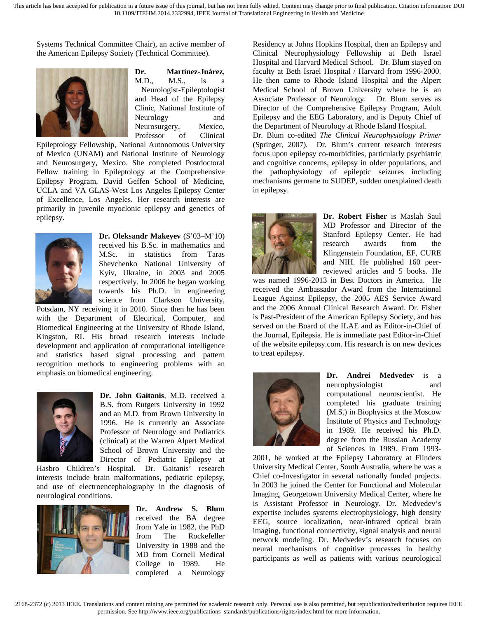Systems Technical Committee Chair), an active member of the American Epilepsy Society (Technical Committee).



**Dr. Martínez-Juárez**, M.D., M.S., is a Neurologist-Epileptologist and Head of the Epilepsy Clinic, National Institute of Neurology and Neurosurgery, Mexico, Professor of Clinical

Epileptology Fellowship, National Autonomous University of Mexico (UNAM) and National Institute of Neurology and Neurosurgery, Mexico. She completed Postdoctoral Fellow training in Epileptology at the Comprehensive Epilepsy Program, David Geffen School of Medicine, UCLA and VA GLAS-West Los Angeles Epilepsy Center of Excellence, Los Angeles. Her research interests are primarily in juvenile myoclonic epilepsy and genetics of epilepsy.



**Dr. Oleksandr Makeyev** (S'03–M'10) received his B.Sc. in mathematics and M.Sc. in statistics from Taras Shevchenko National University of Kyiv, Ukraine, in 2003 and 2005 respectively. In 2006 he began working towards his Ph.D. in engineering science from Clarkson University,

Potsdam, NY receiving it in 2010. Since then he has been with the Department of Electrical, Computer, and Biomedical Engineering at the University of Rhode Island, Kingston, RI. His broad research interests include development and application of computational intelligence and statistics based signal processing and pattern recognition methods to engineering problems with an emphasis on biomedical engineering.



**Dr. John Gaitanis**, M.D. received a B.S. from Rutgers University in 1992 and an M.D. from Brown University in 1996. He is currently an Associate Professor of Neurology and Pediatrics (clinical) at the Warren Alpert Medical School of Brown University and the Director of Pediatric Epilepsy at

Hasbro Children's Hospital. Dr. Gaitanis' research interests include brain malformations, pediatric epilepsy, and use of electroencephalography in the diagnosis of neurological conditions.



**Dr. Andrew S. Blum** received the BA degree from Yale in 1982, the PhD from The Rockefeller University in 1988 and the MD from Cornell Medical College in 1989. He completed a Neurology

Residency at Johns Hopkins Hospital, then an Epilepsy and Clinical Neurophysiology Fellowship at Beth Israel Hospital and Harvard Medical School. Dr. Blum stayed on faculty at Beth Israel Hospital / Harvard from 1996-2000. He then came to Rhode Island Hospital and the Alpert Medical School of Brown University where he is an Associate Professor of Neurology. Dr. Blum serves as Director of the Comprehensive Epilepsy Program, Adult Epilepsy and the EEG Laboratory, and is Deputy Chief of the Department of Neurology at Rhode Island Hospital.

Dr. Blum co-edited *The Clinical Neurophysiology Primer* (Springer, 2007). Dr. Blum's current research interests focus upon epilepsy co-morbidities, particularly psychiatric and cognitive concerns, epilepsy in older populations, and the pathophysiology of epileptic seizures including mechanisms germane to SUDEP, sudden unexplained death in epilepsy.



**Dr. Robert Fisher** is Maslah Saul MD Professor and Director of the Stanford Epilepsy Center. He had research awards from the Klingenstein Foundation, EF, CURE and NIH. He published 160 peerreviewed articles and 5 books. He

was named 1996-2013 in Best Doctors in America. He received the Ambassador Award from the International League Against Epilepsy, the 2005 AES Service Award and the 2006 Annual Clinical Research Award. Dr. Fisher is Past-President of the American Epilepsy Society, and has served on the Board of the ILAE and as Editor-in-Chief of the Journal, Epilepsia. He is immediate past Editor-in-Chief of the website epilepsy.com. His research is on new devices to treat epilepsy.



**Dr. Andrei Medvedev** is a neurophysiologist and computational neuroscientist. He completed his graduate training (M.S.) in Biophysics at the Moscow Institute of Physics and Technology in 1989. He received his Ph.D. degree from the Russian Academy of Sciences in 1989. From 1993-

2001, he worked at the Epilepsy Laboratory at Flinders University Medical Center, South Australia, where he was a Chief co-Investigator in several nationally funded projects. In 2003 he joined the Center for Functional and Molecular Imaging, Georgetown University Medical Center, where he is Assistant Professor in Neurology. Dr. Medvedev's expertise includes systems electrophysiology, high density EEG, source localization, near-infrared optical brain imaging, functional connectivity, signal analysis and neural network modeling. Dr. Medvedev's research focuses on neural mechanisms of cognitive processes in healthy participants as well as patients with various neurological